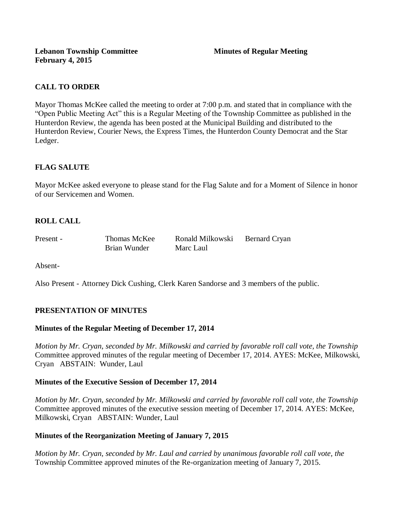# **CALL TO ORDER**

Mayor Thomas McKee called the meeting to order at 7:00 p.m. and stated that in compliance with the "Open Public Meeting Act" this is a Regular Meeting of the Township Committee as published in the Hunterdon Review, the agenda has been posted at the Municipal Building and distributed to the Hunterdon Review, Courier News, the Express Times, the Hunterdon County Democrat and the Star Ledger.

# **FLAG SALUTE**

Mayor McKee asked everyone to please stand for the Flag Salute and for a Moment of Silence in honor of our Servicemen and Women.

# **ROLL CALL**

Brian Wunder Marc Laul

Present - Thomas McKee Ronald Milkowski Bernard Cryan

Absent-

Also Present - Attorney Dick Cushing, Clerk Karen Sandorse and 3 members of the public.

# **PRESENTATION OF MINUTES**

# **Minutes of the Regular Meeting of December 17, 2014**

*Motion by Mr. Cryan, seconded by Mr. Milkowski and carried by favorable roll call vote, the Township* Committee approved minutes of the regular meeting of December 17, 2014. AYES: McKee, Milkowski, Cryan ABSTAIN: Wunder, Laul

#### **Minutes of the Executive Session of December 17, 2014**

*Motion by Mr. Cryan, seconded by Mr. Milkowski and carried by favorable roll call vote, the Township* Committee approved minutes of the executive session meeting of December 17, 2014. AYES: McKee, Milkowski, Cryan ABSTAIN: Wunder, Laul

# **Minutes of the Reorganization Meeting of January 7, 2015**

*Motion by Mr. Cryan, seconded by Mr. Laul and carried by unanimous favorable roll call vote, the*  Township Committee approved minutes of the Re-organization meeting of January 7, 2015.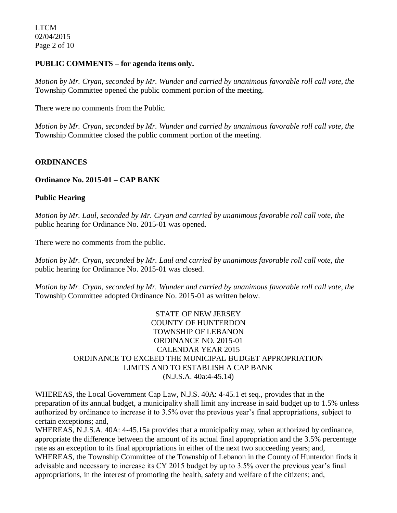#### **PUBLIC COMMENTS – for agenda items only.**

*Motion by Mr. Cryan, seconded by Mr. Wunder and carried by unanimous favorable roll call vote, the* Township Committee opened the public comment portion of the meeting.

There were no comments from the Public.

*Motion by Mr. Cryan, seconded by Mr. Wunder and carried by unanimous favorable roll call vote, the* Township Committee closed the public comment portion of the meeting.

## **ORDINANCES**

## **Ordinance No. 2015-01 – CAP BANK**

## **Public Hearing**

*Motion by Mr. Laul, seconded by Mr. Cryan and carried by unanimous favorable roll call vote, the* public hearing for Ordinance No. 2015-01 was opened.

There were no comments from the public*.*

*Motion by Mr. Cryan, seconded by Mr. Laul and carried by unanimous favorable roll call vote, the* public hearing for Ordinance No. 2015-01 was closed.

*Motion by Mr. Cryan, seconded by Mr. Wunder and carried by unanimous favorable roll call vote, the* Township Committee adopted Ordinance No. 2015-01 as written below.

> STATE OF NEW JERSEY COUNTY OF HUNTERDON TOWNSHIP OF LEBANON ORDINANCE NO. 2015-01 CALENDAR YEAR 2015 ORDINANCE TO EXCEED THE MUNICIPAL BUDGET APPROPRIATION LIMITS AND TO ESTABLISH A CAP BANK (N.J.S.A. 40a:4-45.14)

WHEREAS, the Local Government Cap Law, N.J.S. 40A: 4-45.1 et seq., provides that in the preparation of its annual budget, a municipality shall limit any increase in said budget up to 1.5% unless authorized by ordinance to increase it to 3.5% over the previous year's final appropriations, subject to certain exceptions; and,

WHEREAS, N.J.S.A. 40A: 4-45.15a provides that a municipality may, when authorized by ordinance, appropriate the difference between the amount of its actual final appropriation and the 3.5% percentage rate as an exception to its final appropriations in either of the next two succeeding years; and, WHEREAS, the Township Committee of the Township of Lebanon in the County of Hunterdon finds it advisable and necessary to increase its CY 2015 budget by up to 3.5% over the previous year's final appropriations, in the interest of promoting the health, safety and welfare of the citizens; and,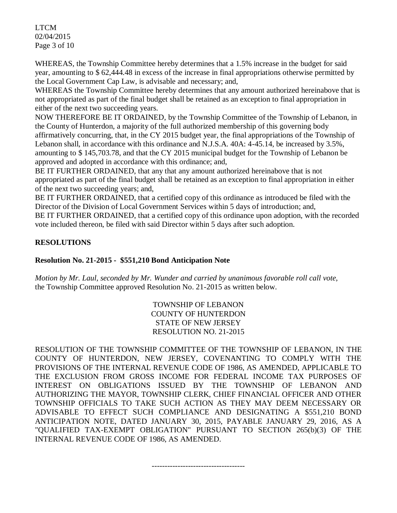LTCM 02/04/2015 Page 3 of 10

WHEREAS, the Township Committee hereby determines that a 1.5% increase in the budget for said year, amounting to \$ 62,444.48 in excess of the increase in final appropriations otherwise permitted by the Local Government Cap Law, is advisable and necessary; and,

WHEREAS the Township Committee hereby determines that any amount authorized hereinabove that is not appropriated as part of the final budget shall be retained as an exception to final appropriation in either of the next two succeeding years.

NOW THEREFORE BE IT ORDAINED, by the Township Committee of the Township of Lebanon, in the County of Hunterdon, a majority of the full authorized membership of this governing body affirmatively concurring, that, in the CY 2015 budget year, the final appropriations of the Township of Lebanon shall, in accordance with this ordinance and N.J.S.A. 40A: 4-45.14, be increased by 3.5%, amounting to \$ 145,703.78, and that the CY 2015 municipal budget for the Township of Lebanon be approved and adopted in accordance with this ordinance; and,

BE IT FURTHER ORDAINED, that any that any amount authorized hereinabove that is not appropriated as part of the final budget shall be retained as an exception to final appropriation in either of the next two succeeding years; and,

BE IT FURTHER ORDAINED, that a certified copy of this ordinance as introduced be filed with the Director of the Division of Local Government Services within 5 days of introduction; and, BE IT FURTHER ORDAINED, that a certified copy of this ordinance upon adoption, with the recorded vote included thereon, be filed with said Director within 5 days after such adoption.

# **RESOLUTIONS**

# **Resolution No. 21-2015 - \$551,210 Bond Anticipation Note**

*Motion by Mr. Laul, seconded by Mr. Wunder and carried by unanimous favorable roll call vote,*  the Township Committee approved Resolution No. 21-2015 as written below.

> TOWNSHIP OF LEBANON COUNTY OF HUNTERDON STATE OF NEW JERSEY RESOLUTION NO. 21-2015

RESOLUTION OF THE TOWNSHIP COMMITTEE OF THE TOWNSHIP OF LEBANON, IN THE COUNTY OF HUNTERDON, NEW JERSEY, COVENANTING TO COMPLY WITH THE PROVISIONS OF THE INTERNAL REVENUE CODE OF 1986, AS AMENDED, APPLICABLE TO THE EXCLUSION FROM GROSS INCOME FOR FEDERAL INCOME TAX PURPOSES OF INTEREST ON OBLIGATIONS ISSUED BY THE TOWNSHIP OF LEBANON AND AUTHORIZING THE MAYOR, TOWNSHIP CLERK, CHIEF FINANCIAL OFFICER AND OTHER TOWNSHIP OFFICIALS TO TAKE SUCH ACTION AS THEY MAY DEEM NECESSARY OR ADVISABLE TO EFFECT SUCH COMPLIANCE AND DESIGNATING A \$551,210 BOND ANTICIPATION NOTE, DATED JANUARY 30, 2015, PAYABLE JANUARY 29, 2016, AS A "QUALIFIED TAX-EXEMPT OBLIGATION" PURSUANT TO SECTION 265(b)(3) OF THE INTERNAL REVENUE CODE OF 1986, AS AMENDED.

------------------------------------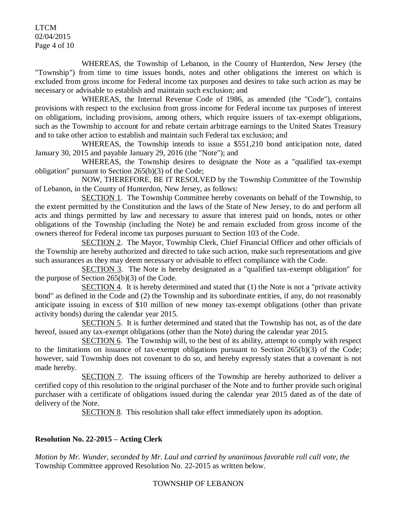LTCM 02/04/2015 Page 4 of 10

WHEREAS, the Township of Lebanon, in the County of Hunterdon, New Jersey (the "Township") from time to time issues bonds, notes and other obligations the interest on which is excluded from gross income for Federal income tax purposes and desires to take such action as may be necessary or advisable to establish and maintain such exclusion; and

WHEREAS, the Internal Revenue Code of 1986, as amended (the "Code"), contains provisions with respect to the exclusion from gross income for Federal income tax purposes of interest on obligations, including provisions, among others, which require issuers of tax-exempt obligations, such as the Township to account for and rebate certain arbitrage earnings to the United States Treasury and to take other action to establish and maintain such Federal tax exclusion; and

WHEREAS, the Township intends to issue a \$551,210 bond anticipation note, dated January 30, 2015 and payable January 29, 2016 (the "Note"); and

WHEREAS, the Township desires to designate the Note as a "qualified tax-exempt obligation" pursuant to Section 265(b)(3) of the Code;

NOW, THEREFORE, BE IT RESOLVED by the Township Committee of the Township of Lebanon, in the County of Hunterdon, New Jersey, as follows:

SECTION 1. The Township Committee hereby covenants on behalf of the Township, to the extent permitted by the Constitution and the laws of the State of New Jersey, to do and perform all acts and things permitted by law and necessary to assure that interest paid on bonds, notes or other obligations of the Township (including the Note) be and remain excluded from gross income of the owners thereof for Federal income tax purposes pursuant to Section 103 of the Code.

SECTION 2. The Mayor, Township Clerk, Chief Financial Officer and other officials of the Township are hereby authorized and directed to take such action, make such representations and give such assurances as they may deem necessary or advisable to effect compliance with the Code.

SECTION 3. The Note is hereby designated as a "qualified tax-exempt obligation" for the purpose of Section 265(b)(3) of the Code.

 $SECTION 4.$  It is hereby determined and stated that  $(1)$  the Note is not a "private activity bond" as defined in the Code and (2) the Township and its subordinate entities, if any, do not reasonably anticipate issuing in excess of \$10 million of new money tax-exempt obligations (other than private activity bonds) during the calendar year 2015.

SECTION 5. It is further determined and stated that the Township has not, as of the date hereof, issued any tax-exempt obligations (other than the Note) during the calendar year 2015.

SECTION 6. The Township will, to the best of its ability, attempt to comply with respect to the limitations on issuance of tax-exempt obligations pursuant to Section 265(b)(3) of the Code; however, said Township does not covenant to do so, and hereby expressly states that a covenant is not made hereby.

SECTION 7. The issuing officers of the Township are hereby authorized to deliver a certified copy of this resolution to the original purchaser of the Note and to further provide such original purchaser with a certificate of obligations issued during the calendar year 2015 dated as of the date of delivery of the Note.

SECTION 8. This resolution shall take effect immediately upon its adoption.

# **Resolution No. 22-2015 – Acting Clerk**

*Motion by Mr. Wunder, seconded by Mr. Laul and carried by unanimous favorable roll call vote, the* Township Committee approved Resolution No. 22-2015 as written below.

#### TOWNSHIP OF LEBANON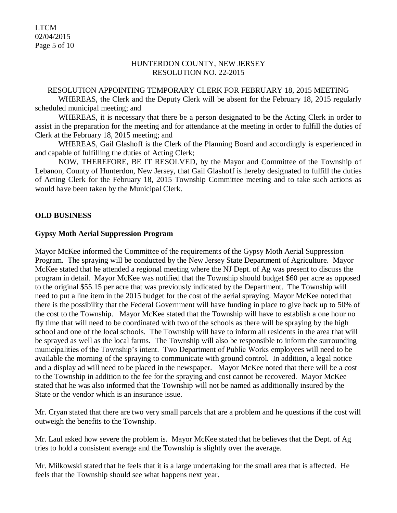LTCM 02/04/2015 Page 5 of 10

#### HUNTERDON COUNTY, NEW JERSEY RESOLUTION NO. 22-2015

#### RESOLUTION APPOINTING TEMPORARY CLERK FOR FEBRUARY 18, 2015 MEETING

WHEREAS, the Clerk and the Deputy Clerk will be absent for the February 18, 2015 regularly scheduled municipal meeting; and

WHEREAS, it is necessary that there be a person designated to be the Acting Clerk in order to assist in the preparation for the meeting and for attendance at the meeting in order to fulfill the duties of Clerk at the February 18, 2015 meeting; and

WHEREAS, Gail Glashoff is the Clerk of the Planning Board and accordingly is experienced in and capable of fulfilling the duties of Acting Clerk;

NOW, THEREFORE, BE IT RESOLVED, by the Mayor and Committee of the Township of Lebanon, County of Hunterdon, New Jersey, that Gail Glashoff is hereby designated to fulfill the duties of Acting Clerk for the February 18, 2015 Township Committee meeting and to take such actions as would have been taken by the Municipal Clerk.

## **OLD BUSINESS**

#### **Gypsy Moth Aerial Suppression Program**

Mayor McKee informed the Committee of the requirements of the Gypsy Moth Aerial Suppression Program. The spraying will be conducted by the New Jersey State Department of Agriculture. Mayor McKee stated that he attended a regional meeting where the NJ Dept. of Ag was present to discuss the program in detail. Mayor McKee was notified that the Township should budget \$60 per acre as opposed to the original \$55.15 per acre that was previously indicated by the Department. The Township will need to put a line item in the 2015 budget for the cost of the aerial spraying. Mayor McKee noted that there is the possibility that the Federal Government will have funding in place to give back up to 50% of the cost to the Township. Mayor McKee stated that the Township will have to establish a one hour no fly time that will need to be coordinated with two of the schools as there will be spraying by the high school and one of the local schools. The Township will have to inform all residents in the area that will be sprayed as well as the local farms. The Township will also be responsible to inform the surrounding municipalities of the Township's intent. Two Department of Public Works employees will need to be available the morning of the spraying to communicate with ground control. In addition, a legal notice and a display ad will need to be placed in the newspaper. Mayor McKee noted that there will be a cost to the Township in addition to the fee for the spraying and cost cannot be recovered. Mayor McKee stated that he was also informed that the Township will not be named as additionally insured by the State or the vendor which is an insurance issue.

Mr. Cryan stated that there are two very small parcels that are a problem and he questions if the cost will outweigh the benefits to the Township.

Mr. Laul asked how severe the problem is. Mayor McKee stated that he believes that the Dept. of Ag tries to hold a consistent average and the Township is slightly over the average.

Mr. Milkowski stated that he feels that it is a large undertaking for the small area that is affected. He feels that the Township should see what happens next year.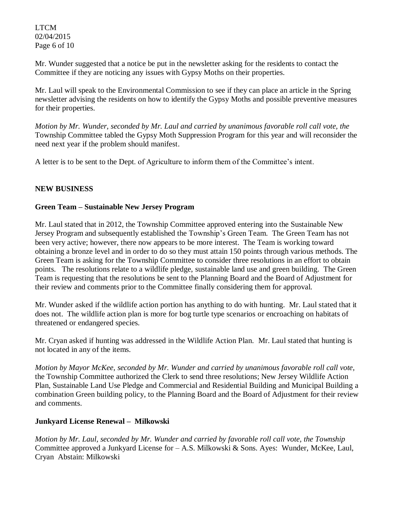LTCM 02/04/2015 Page 6 of 10

Mr. Wunder suggested that a notice be put in the newsletter asking for the residents to contact the Committee if they are noticing any issues with Gypsy Moths on their properties.

Mr. Laul will speak to the Environmental Commission to see if they can place an article in the Spring newsletter advising the residents on how to identify the Gypsy Moths and possible preventive measures for their properties.

*Motion by Mr. Wunder, seconded by Mr. Laul and carried by unanimous favorable roll call vote, the* Township Committee tabled the Gypsy Moth Suppression Program for this year and will reconsider the need next year if the problem should manifest.

A letter is to be sent to the Dept. of Agriculture to inform them of the Committee's intent.

# **NEW BUSINESS**

## **Green Team – Sustainable New Jersey Program**

Mr. Laul stated that in 2012, the Township Committee approved entering into the Sustainable New Jersey Program and subsequently established the Township's Green Team. The Green Team has not been very active; however, there now appears to be more interest. The Team is working toward obtaining a bronze level and in order to do so they must attain 150 points through various methods. The Green Team is asking for the Township Committee to consider three resolutions in an effort to obtain points. The resolutions relate to a wildlife pledge, sustainable land use and green building. The Green Team is requesting that the resolutions be sent to the Planning Board and the Board of Adjustment for their review and comments prior to the Committee finally considering them for approval.

Mr. Wunder asked if the wildlife action portion has anything to do with hunting. Mr. Laul stated that it does not. The wildlife action plan is more for bog turtle type scenarios or encroaching on habitats of threatened or endangered species.

Mr. Cryan asked if hunting was addressed in the Wildlife Action Plan. Mr. Laul stated that hunting is not located in any of the items.

*Motion by Mayor McKee, seconded by Mr. Wunder and carried by unanimous favorable roll call vote,*  the Township Committee authorized the Clerk to send three resolutions; New Jersey Wildlife Action Plan, Sustainable Land Use Pledge and Commercial and Residential Building and Municipal Building a combination Green building policy, to the Planning Board and the Board of Adjustment for their review and comments.

# **Junkyard License Renewal – Milkowski**

*Motion by Mr. Laul, seconded by Mr. Wunder and carried by favorable roll call vote, the Township* Committee approved a Junkyard License for – A.S. Milkowski & Sons. Ayes: Wunder, McKee, Laul, CryanAbstain: Milkowski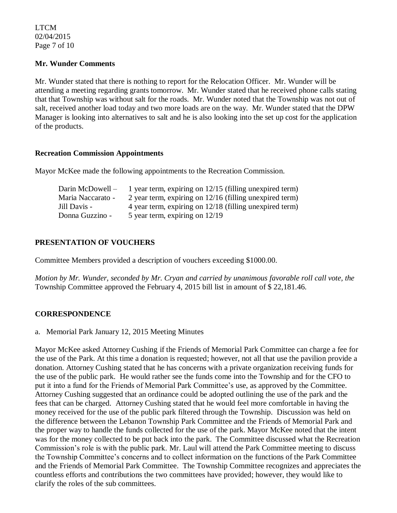LTCM 02/04/2015 Page 7 of 10

### **Mr. Wunder Comments**

Mr. Wunder stated that there is nothing to report for the Relocation Officer. Mr. Wunder will be attending a meeting regarding grants tomorrow. Mr. Wunder stated that he received phone calls stating that that Township was without salt for the roads. Mr. Wunder noted that the Township was not out of salt, received another load today and two more loads are on the way. Mr. Wunder stated that the DPW Manager is looking into alternatives to salt and he is also looking into the set up cost for the application of the products.

#### **Recreation Commission Appointments**

Mayor McKee made the following appointments to the Recreation Commission.

| 1 year term, expiring on 12/15 (filling unexpired term)   |
|-----------------------------------------------------------|
| 2 year term, expiring on $12/16$ (filling unexpired term) |
| 4 year term, expiring on 12/18 (filling unexpired term)   |
| 5 year term, expiring on 12/19                            |
|                                                           |

# **PRESENTATION OF VOUCHERS**

Committee Members provided a description of vouchers exceeding \$1000.00.

*Motion by Mr. Wunder, seconded by Mr. Cryan and carried by unanimous favorable roll call vote, the* Township Committee approved the February 4, 2015 bill list in amount of \$ 22,181.46.

# **CORRESPONDENCE**

a. Memorial Park January 12, 2015 Meeting Minutes

Mayor McKee asked Attorney Cushing if the Friends of Memorial Park Committee can charge a fee for the use of the Park. At this time a donation is requested; however, not all that use the pavilion provide a donation. Attorney Cushing stated that he has concerns with a private organization receiving funds for the use of the public park. He would rather see the funds come into the Township and for the CFO to put it into a fund for the Friends of Memorial Park Committee's use, as approved by the Committee. Attorney Cushing suggested that an ordinance could be adopted outlining the use of the park and the fees that can be charged. Attorney Cushing stated that he would feel more comfortable in having the money received for the use of the public park filtered through the Township. Discussion was held on the difference between the Lebanon Township Park Committee and the Friends of Memorial Park and the proper way to handle the funds collected for the use of the park. Mayor McKee noted that the intent was for the money collected to be put back into the park. The Committee discussed what the Recreation Commission's role is with the public park. Mr. Laul will attend the Park Committee meeting to discuss the Township Committee's concerns and to collect information on the functions of the Park Committee and the Friends of Memorial Park Committee. The Township Committee recognizes and appreciates the countless efforts and contributions the two committees have provided; however, they would like to clarify the roles of the sub committees.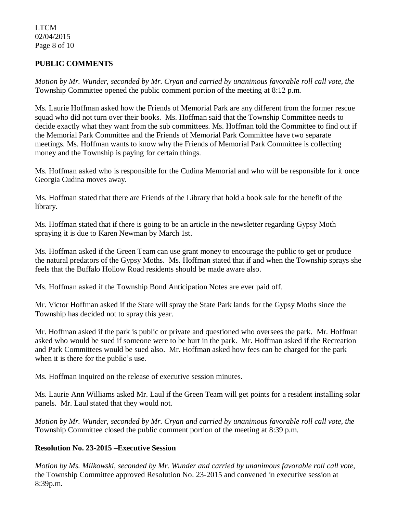## LTCM 02/04/2015 Page 8 of 10

# **PUBLIC COMMENTS**

*Motion by Mr. Wunder, seconded by Mr. Cryan and carried by unanimous favorable roll call vote, the* Township Committee opened the public comment portion of the meeting at 8:12 p.m.

Ms. Laurie Hoffman asked how the Friends of Memorial Park are any different from the former rescue squad who did not turn over their books. Ms. Hoffman said that the Township Committee needs to decide exactly what they want from the sub committees. Ms. Hoffman told the Committee to find out if the Memorial Park Committee and the Friends of Memorial Park Committee have two separate meetings. Ms. Hoffman wants to know why the Friends of Memorial Park Committee is collecting money and the Township is paying for certain things.

Ms. Hoffman asked who is responsible for the Cudina Memorial and who will be responsible for it once Georgia Cudina moves away.

Ms. Hoffman stated that there are Friends of the Library that hold a book sale for the benefit of the library.

Ms. Hoffman stated that if there is going to be an article in the newsletter regarding Gypsy Moth spraying it is due to Karen Newman by March 1st.

Ms. Hoffman asked if the Green Team can use grant money to encourage the public to get or produce the natural predators of the Gypsy Moths. Ms. Hoffman stated that if and when the Township sprays she feels that the Buffalo Hollow Road residents should be made aware also.

Ms. Hoffman asked if the Township Bond Anticipation Notes are ever paid off.

Mr. Victor Hoffman asked if the State will spray the State Park lands for the Gypsy Moths since the Township has decided not to spray this year.

Mr. Hoffman asked if the park is public or private and questioned who oversees the park. Mr. Hoffman asked who would be sued if someone were to be hurt in the park. Mr. Hoffman asked if the Recreation and Park Committees would be sued also. Mr. Hoffman asked how fees can be charged for the park when it is there for the public's use.

Ms. Hoffman inquired on the release of executive session minutes.

Ms. Laurie Ann Williams asked Mr. Laul if the Green Team will get points for a resident installing solar panels. Mr. Laul stated that they would not.

*Motion by Mr. Wunder, seconded by Mr. Cryan and carried by unanimous favorable roll call vote, the* Township Committee closed the public comment portion of the meeting at 8:39 p.m.

# **Resolution No. 23-2015 –Executive Session**

*Motion by Ms. Milkowski, seconded by Mr. Wunder and carried by unanimous favorable roll call vote,* the Township Committee approved Resolution No. 23-2015 and convened in executive session at 8:39p.m.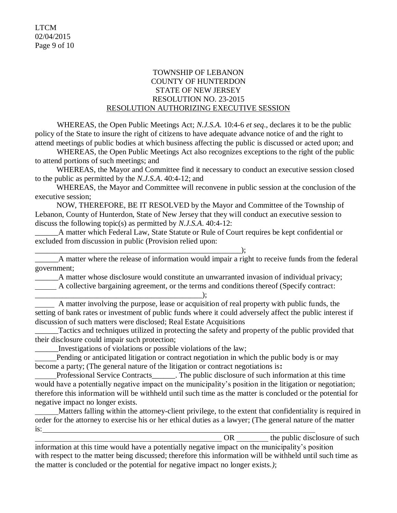## TOWNSHIP OF LEBANON COUNTY OF HUNTERDON STATE OF NEW JERSEY RESOLUTION NO. 23-2015 RESOLUTION AUTHORIZING EXECUTIVE SESSION

WHEREAS, the Open Public Meetings Act; *N.J.S.A.* 10:4-6 *et seq*., declares it to be the public policy of the State to insure the right of citizens to have adequate advance notice of and the right to attend meetings of public bodies at which business affecting the public is discussed or acted upon; and

WHEREAS, the Open Public Meetings Act also recognizes exceptions to the right of the public to attend portions of such meetings; and

 WHEREAS, the Mayor and Committee find it necessary to conduct an executive session closed to the public as permitted by the *N.J.S.A*. 40:4-12; and

 WHEREAS, the Mayor and Committee will reconvene in public session at the conclusion of the executive session;

 NOW, THEREFORE, BE IT RESOLVED by the Mayor and Committee of the Township of Lebanon, County of Hunterdon, State of New Jersey that they will conduct an executive session to discuss the following topic(s) as permitted by *N.J.S.A*. 40:4-12:

\_\_\_\_\_\_A matter which Federal Law, State Statute or Rule of Court requires be kept confidential or excluded from discussion in public (Provision relied upon:

\_\_\_\_\_\_\_\_\_\_\_\_\_\_\_\_\_\_\_\_\_\_\_\_\_\_\_\_\_\_\_\_\_\_\_\_\_\_\_\_\_\_\_\_\_\_\_\_\_\_\_\_\_); \_\_\_\_\_\_A matter where the release of information would impair a right to receive funds from the federal government;

\_\_\_\_\_\_A matter whose disclosure would constitute an unwarranted invasion of individual privacy; A collective bargaining agreement, or the terms and conditions thereof (Specify contract:

\_\_\_\_\_\_\_\_\_\_\_\_\_\_\_\_\_\_\_\_\_\_\_\_\_\_\_\_\_\_\_\_\_\_\_\_\_\_\_\_\_\_\_);

 A matter involving the purpose, lease or acquisition of real property with public funds, the setting of bank rates or investment of public funds where it could adversely affect the public interest if discussion of such matters were disclosed; Real Estate Acquisitions

Tactics and techniques utilized in protecting the safety and property of the public provided that their disclosure could impair such protection;

\_\_\_\_\_\_Investigations of violations or possible violations of the law;

 Pending or anticipated litigation or contract negotiation in which the public body is or may become a party; (The general nature of the litigation or contract negotiations is**:**

Professional Service Contracts The public disclosure of such information at this time would have a potentially negative impact on the municipality's position in the litigation or negotiation; therefore this information will be withheld until such time as the matter is concluded or the potential for negative impact no longer exists.

 Matters falling within the attorney-client privilege, to the extent that confidentiality is required in order for the attorney to exercise his or her ethical duties as a lawyer; (The general nature of the matter is:

OR the public disclosure of such information at this time would have a potentially negative impact on the municipality's position with respect to the matter being discussed; therefore this information will be withheld until such time as the matter is concluded or the potential for negative impact no longer exists.*)*;